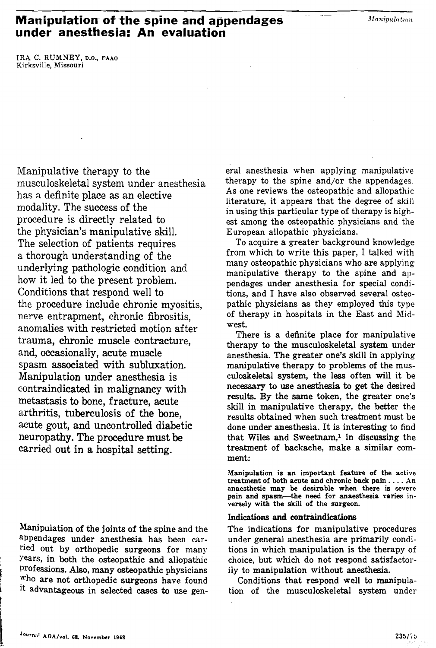# **Manipulation of the spine and appendages** *<i>Manipulation* **under anesthesia: An evaluation**

**IRA C. RUMNEY, D.o., FAAO Kirksville, Missouri** 

Manipulative therapy to the musculoskeletal system under anesthesia has a definite place as an elective modality. The success of the procedure is directly related to the physician's manipulative skill. The selection of patients requires a thorough understanding of the underlying pathologic condition and how it led to the present problem. Conditions that respond well to the procedure include chronic myositis, nerve entrapment, chronic fibrositis, anomalies with restricted motion after trauma, chronic muscle contracture, and, occasionally, acute muscle spasm associated with subluxation. Manipulation under anesthesia is contraindicated in malignancy with metastasis to bone, fracture, acute arthritis, tuberculosis of the bone, acute gout, and uncontrolled diabetic neuropathy. The procedure must be carried out in a hospital setting.

Manipulation of the joints of the spine and the appendages under anesthesia has been carried out by orthopedic surgeons for many : Years, in both the osteopathic and allopathic Professions. Also, many osteopathic physicians who are not orthopedic surgeons have found it advantageous in selected cases to use genera1 anesthesia when applying manipulative therapy to the spine and/or the appendages. **As** one reviews the osteopathic and allopathic literature, it appears that the degree of skill in using this particular type of therapy is highest among the osteopathic physicians and the European allopathic physicians.

.-

To acquire a greater background knowledge from which to write this paper, I talked with many osteopathic physicians who are applying manipulative therapy to the spine and appendages under anesthesia for special conditions, and I have also observed several osteopathic physicians as they employed this type of therapy in hospitals in the East and Midwest.

There is a definite place for manipulative therapy to the musculoskeletal **system** under anesthesia. The greater one's skill in applying manipulative therapy to problems of the musculoskeletal system, the less often will it be necessary to use anesthesia to get the desired results. By the same token, the greater one's skill in manipulative therapy, the better the results obtained when such treatment must be done under anesthesia. It is interesting to find that Wiles and Sweetnam,<sup>1</sup> in discussing the treatment of backache, make a similar comment:

**Manipulation is an important feature of the active treatment of both acute and chronic back pain** . . . . **An**  pain and spasm---the need for anaesthesia varies in**versely with the skill of the surgeon.** 

## Indications and contraindications

The indications for manipulative procedures under general anesthesia are primarily conditions in which manipulation is the therapy of choice, but which do not respond satisfactorily to manipulation without anesthesia.

Conditions that respond well to manipulation of the musculoskeletal system under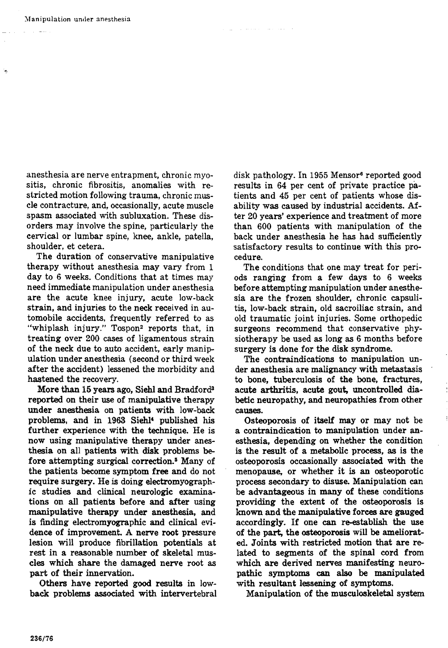-

anesthesia are nerve entrapment, chronic myositis, chronic fibrositis, anomalies with restricted motion following trauma, chronic muscle contracture, and, occasionally, acute muscle spasm associated with subluxation. These disorders may involve the spine, particularly the cervical or lumbar spine, knee, ankle, patella, shoulder, et cetera.

The duration of conservative manipulative therapy without anesthesia may vary from 1 day to **6** weeks. Conditions that at times may need immediate manipulation under anesthesia are the acute knee injury, acute low-back strain, and injuries to the neck received in automobile accidents, frequently referred to as "whiplash injury." Tospon<sup>2</sup> reports that, in treating over **200** cases of ligamentous strain of the neck due to auto accident, early manipulation under anesthesia (second or third week after the accident) lessened the morbidity and hastened the recovery.

More than 15 years ago, Siehl and Bradford3 reported on their use of manipulative therapy under anesthesia on patients with low-back problems, and in 1963 Siehl' published his further experience with the technique. He is now using manipulative therapy under anesthesia on all patients with disk problems before attempting surgical correction.<sup>5</sup> Many of the patients become symptom free and do not require surgery. He is doing electromyographic studies and clinical neurologic examinations on all patients before and after using manipulative therapy under anesthesia, and is finding electromyographic and clinical evidence of improvement. A nerve root pressure lesion will produce fibrillation potentials at rest in a reasonable number of skeletal muscles which share the damaged nerve root as part of their innervation.

Others have reported good results in lowback problems associated with intervertebral disk pathology. In 1955 Mensore reported good results in **64** per cent of private practice patients and **45** per cent of patients whose disability was caused by industrial accidents. After **20** years' experience and treatment of more than **600** patients with manipulation of the back under anesthesia he has had sufficiently satisfactory results to continue with this procedure.

**Contractor** 

The conditions that one may treat for periods ranging from a few days to **6** weeks before attempting manipulation under anesthesia are the frozen shoulder, chronic capsulitis, low-back strain, old sacroiliac strain, and old traumatic joint injuries. Some orthopedic surgeons recommend that conservative physiotherapy be used as long as **6** months before surgery is done for the disk syndrome.

The contraindications to manipulation under anesthesia are malignancy with metastasis to bone, tuberculosis of the bone, fractures, acute arthritis, acute gout, uncontrolled diabetic neuropathy, and neuropathies from other causes.

Osteoporosis of itself may or may not be a contraindication to manipulation under anesthesia, depending on whether the condition is the result of a metabolic process, as is the osteoporosis occasionally associated with the menopause, or whether it is an osteoporotic process secondary to disuse. Manipulation can be advantageous in many of these conditions providing the extent of the osteoporosis is known and the manipulative forces are gauged accordingly. If one **can** re-establish the use of the part, the osteoporosis will be ameliorated. Joints with restricted motion that are related to segments of the spinal cord from which are derived nerves manifesting neuropathic symptoms can also be manipulated with resultant lessening of symptoms.

Manipulation of the musculoskeletal system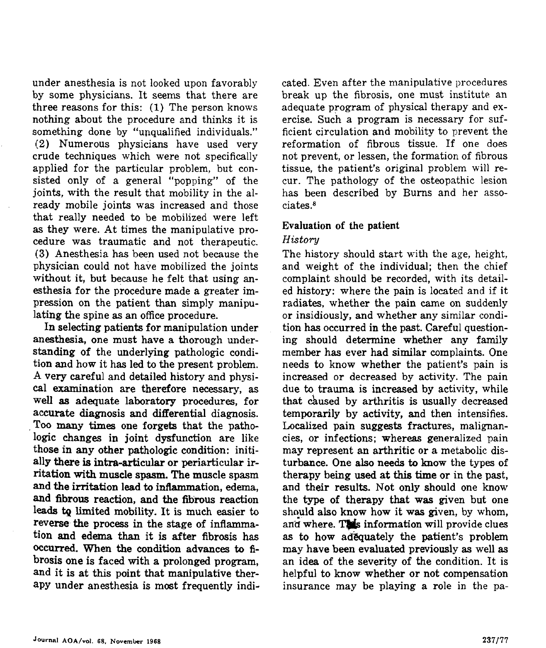under anesthesia is not looked upon favorably by some physicians. It seems that there are three reasons for this: (1) The person knows nothing about the procedure and thinks it is something done by "unqualified individuals." **(2)** Numerous physicians have used very crude techniques which were not specifically applied for the particular problem, but consisted only of a general "popping" of the joints, with the result that mobility in the already mobile joints was increased and those that really needed to be mobilized were left as they were. At times the manipulative procedure was traumatic and not therapeutic. **(3)** Anesthesia has been used not because the physician could not have mobilized the joints without it, but because he felt that using **an**esthesia for the procedure made a greater impression on the patient than simply manipulating the spine as an office procedure.

In selecting patients for manipulation under anesthesia, one must have a thorough understanding of the underlying pathologic condition and how it has led to the present problem. A very careful and detailed history and physical examination are therefore necessary, as well as adequate laboratory procedures, for accurate diagnosis and differential diagnosis. **Too** many times one forgets that the pathologic changes in joint dysfunction are like those in any other pathologic condition: initially there is intra-articular or periarticular irritation **with** muscle spasm. The muscle spasm and the irritation lead to inflammation, edema, and fibrous reaction, and the fibrous reaction leads **tq** limited mobility. It is much easier to reverse the process in the stage of inflammation and edema than it is after fibrosis has occurred. When the condition advances to fibrosis one is faced with a prolonged program, and it is at this point that manipulative therapy under anesthesia is most frequently indi-

cated. Even after the manipulative procedures break up the fibrosis, one must institute an adequate program of physical therapy and exercise. Such a program is necessary for sufficient circulation and mobility to prevent the reformation of fibrous tissue. If one does not prevent, or lessen, the formation of fibrous tissue, the patient's original problem will recur. The pathology of the osteopathic lesion has been described by Bums and her associates.<sup>8</sup>

### Evaluation of the patient

## *History*

The history should start with the age, height, and weight of the individual; then the chief complaint should be recorded, with its detailed history: where the pain is located and if it radiates, whether the pain came on suddenly or insidiously, and whether any similar condition has occurred in the past. Careful question**ing** should determine whether any family member has ever had similar complaints. One needs to know whether the patient's pain is increased or decreased by activity. The pain due to trauma is increased by activity, while that &used by arthritis is usually decreased temporarily by activity, and then intensifies. Localized pain suggests fractures, malignancies, or infections; whereas generalized pain may represent an arthritic or a metabolic disturbance. One also needs to know the types of therapy being used at this time or in the past, and their results. Not only should one know the type of therapy that **was** given but one should also know how it was given but one<br>should also know how it was given, by whom,<br>and where. This information will provide clues as to how adequately the patient's problem may have been evaluated previously as well as an idea of the severity of the condition. It is helpful to know whether or not compensation insurance may be playing a role in the pa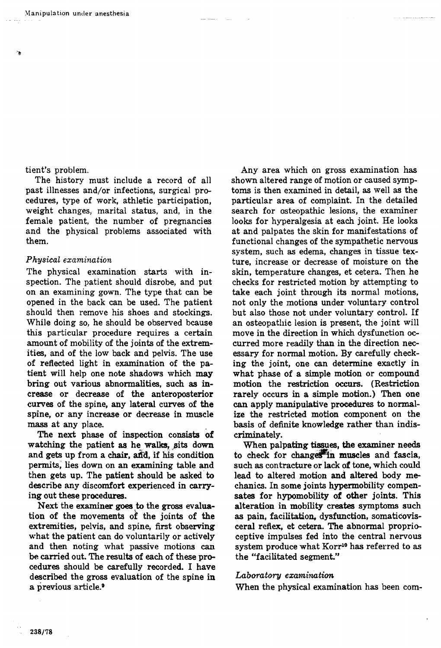tient's problem.

The history must include a record of all past illnesses and/or infections, surgical procedures, type of work, athletic participation, weight changes, marital status, and, in the female patient, the number of pregnancies and the physical problems associated with them.

### *Physical examination*

The physical examination starts with inspection. The patient should disrobe, and put on an examining gown. The type that can be opened in the back can be used. The patient should then remove his shoes and stockings. While doing so, he should be observed bcause this particular procedure requires a certain amount of mobility of the joints of the extremities, and of the low back and pelvis. The use of reflected light in examination of the patient will help one note shadows which **may**  bring out various abnormalities, such as increase or decrease of the anteroposterior curves of the spine, any lateral curves of the spine, or any increase or decrease in muscle **mass** at any place.

The next phase of inspection consists of watching the patient as he walks, pits down and gets up from a chair, and, if his condition permits, lies down on an examining table and then gets up. The patient should be asked to describe any discomfort experienced in carrying out these procedures.

Next the examiner goes **.to** the **gross** evaluation of the movements of the joints of the extremities, pelvis, and spine, first observing what the patient can do voluntarily or actively and then noting what passive motions can be carried out. The results of each of these procedures should be carefully recorded. I have described the gross evaluation of the spine in a previous article.9

Any area which on gross examination has shown altered range of motion or caused symptoms is then examined in detail, as well as the particular area of complaint. In the detailed search for osteopathic lesions, the examiner looks for hyperalgesia at each joint. He looks at and palpates the skin for manifestations of functional changes of the sympathetic nervous system, such as edema, changes in tissue texture, increase or decrease of moisture on the skin, temperature changes, et cetera. Then he checks for restricted motion by attempting to take each joint through its normal motions, not only the motions under voluntary control but also those not under voluntary control. If an osteopathic lesion is present, the joint will move in the direction in which dysfunction occurred more readily than in the direction necessary for normal motion. By carefully checking the joint, one can determine exactly in what phase of a simple motion or compound motion the restriction **occurs.** (Restriction rarely occurs in a simple motion.) Then one **can** apply manipulative procedures to normalize the restricted motion component on the basis of definite knowledge rather than indiscrimina tely.

When palpating tissues, the examiner needs to check for changes in muscles and fascia, such as contracture or lack of tone, which could lead to altered motion and altered body mechanics. In some joints hypemobility compen**sates** for hypomobility of other joints. This alteration in mobility creates symptoms such as pain, facilitation, dysfunction, somaticovisceral reflex, et cetera. The abnormal proprioceptive impulses fed into the central nervous system produce what Korr<sup>10</sup> has referred to as the "facilitated segment."

#### $Laboratory$  *examination*

When the physical examination has been com-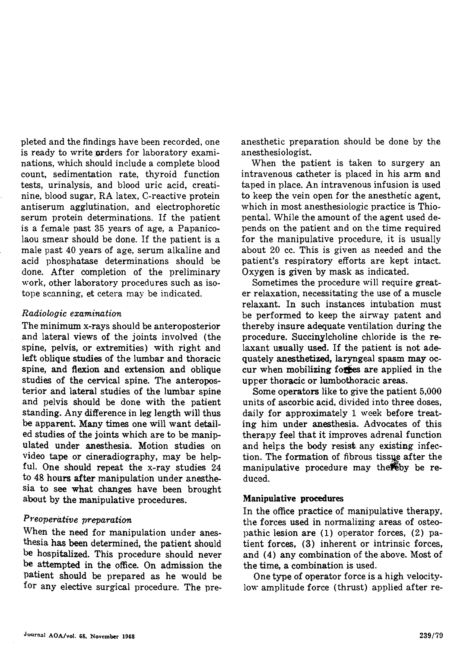pleted and the findings have been recorded, one is ready to write orders for laboratory examinations, which should include a complete blood count, sedimentation rate, thyroid function tests, urinalysis, and blood uric acid, creatinine, blood sugar, RA latex, C-reactive protein antiserum agglutination, and electrophoretic serum protein determinations. If the patient is a female past 35 years of age, a Papanicolaou smear should be done. If the patient is a male past 40 years of age, serum alkaline and acid phosphatase determinations should be done. After completion of the preliminary work, other laboratory procedures such as isotope scanning, et cetera may be indicated.

## *Radiologic examination*

The minimum x-rays should be anteroposterior and lateral views of the joints involved (the spine, pelvis, or extremities) with right and left oblique studies of the lumbar and thoracic spine, and flexion and extension and oblique studies of the cervical spine. The anteroposterior and lateral studies of the lumbar spine and pelvis should be done with the patient standing. Any difference in leg length will thus be apparent. Many times one will want detailed studies of the joints which are to be manipulated under anesthesia. Motion studies on video tape or cineradiography, may be helpful. One should repeat the x-ray studies 24 to 48 hours after manipulation under anesthesia to see what changes have been brought about by the manipulative procedures.

## *P~eoperative preparation*

When the need for manipulation under anesthesia has been determined, the patient should be hospitalized. This procedure should never be attempted in the office. On admission the patient should be prepared as he would be for any elective surgical procedure. The preanesthetic preparation should be done by the anesthesiologist.

When the patient is taken to surgery an intravenous catheter is placed in his arm and taped in place. An intravenous infusion is used to keep the vein open for the anesthetic agent, which in most anesthesiologic practice is Thiopental. While the amount of the agent used depends on the patient and on the time required for the manipulative procedure, it is usually about 20 cc. This is given as needed and the patient's respiratory efforts are kept intact. Oxygen is given by mask as indicated.

Sometimes the procedure will require greater relaxation, necessitating the use of a muscle relaxant. In such instances intubation must be performed to keep the airway patent and thereby insure adequate ventilation during the procedure. Succinylcholine chloride is the relaxant usually used. If the patient is not adequately anesthetized, laryngeal spasm **may** occur when mobilizing forces are applied in the upper thoracic or lumbothoracic areas.

Some operators like to give the patient 5,000 units of ascorbic acid, divided into three doses, daily for approximately 1 week before treating him under anesthesia. Advocates of this therapy feel that it improves adrenal function and helps the body resist any existing infection. The formation of fibrous tissue after the and ners the body resist any existing infec-<br>tion. The formation of fibrous tissue after the<br>manipulative procedure may thereby be reduced.

#### Manipulative **procedures**

In the office practice of manipulative therapy, the forces used in normalizing areas of osteopathic lesion are (1) operator forces, (2) patient forces, **(3)** inherent or intrinsic forces, and (4) any combination of the above. Most of the time, a combination is used.

One type of operator force is a high velocitylow amplitude force (thrust) applied after re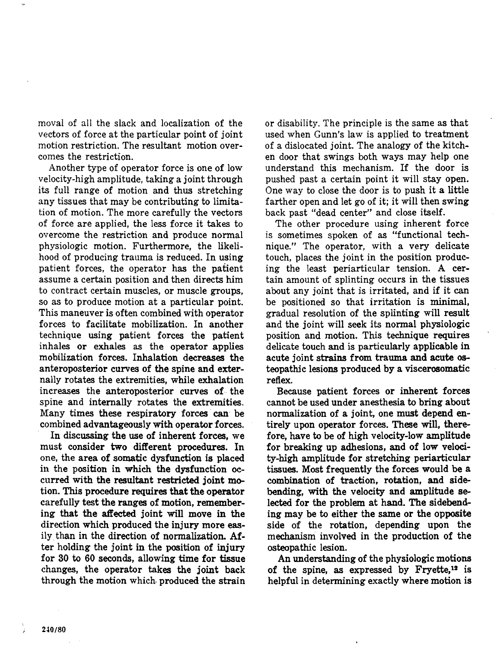moval of all the slack and localization of the vectors of force at the particular point of joint motion restriction. The resultant motion overcomes the restriction.

Another type of operator force is one of low velocity-high amplitude, taking a joint through its full range of motion and thus stretching any tissues that may be contributing to limitation of motion. The more carefully the vectors of force are applied, the less force it takes to overcome the restriction and produce normal physiologic motion. Furthermore, the likelihood of producing trauma is reduced. In using patient forces, the operator has the patient assume a certain position and then directs him to contract certain muscles, or muscle groups, so as to produce motion at a particular point. This maneuver is often combined with operator forces to facilitate mobilization. In another technique using patient forces the patient inhales or exhales as the operator applies mobilization forces. Inhalation decreases the anteroposterior curves of the spine and externally rotates the extremities, while exhalation increases the anteroposterior curves of- the spine and internally rotates the extremities. Many times these respiratory forces' **can.** be combined advantageously with operator forces.

In discussing the use of inherent forces, we must consider two different procedures. In one, the area of somatic dysfunction is placed in the position in which the dysfunction **oc**curred with the resultant restricted joint motion. This procedure requires that the operator carefully test the ranges of motion, remembering that the **atfeded** joint will move in the direction which produced the injury more **eas**ily than in the direction of normalization. After holding the joint in the position of injury for 30 to 60 seconds, allowing time for tissue changes, the operator takes the joint back through the motion which. produced the strain or disability. The principle is the same as that used when Gunn's law is applied to treatment of a dislocated joint. The analogy of the kitchen door that swings both ways may help one understand this mechanism. If the door is pushed past a certain point it will stay open. One way to close the door is to push it a little farther open and let go of it; it will then swing back past "dead center" and close itself.

The other procedure using inherent force is sometimes spoken of as "functional technique." The operator, with a very delicate touch, places the joint in the position producing the least periarticular tension. A certain amount of splinting occurs in the tissues about any joint that is irritated, and if it can be positioned so that irritation is minimal, gradual resolution of the splinting will result and the joint will seek its normal physiologic position and motion. This technique requires delicate touch and is particularly applicable in acute joint strains from trauma and acute osteopathic lesions produced by a viscerosomatic reflex.

Because patient forces or inherent forces cannot be used under anesthesia to bring about normalization of a joint, one must depend entirely upon operator forces. These will, there fore, have to be of high velocity-low amplitude for breaking up adhesions, and of low velocity-high amplitude for stretching periarticular tissues. Most frequently the forces would be a combination of traction, rotation, and sidebending, with the velocity and amplitude selected for the problem at hand. The sideben& ing may be to either the same or the opposite side of the rotation, depending upon the mechanism involved in the production of the osteopathic lesion.

An understanding of the physiologic motions of the spine, as expressed by Fryette,12 is helpful in determining exactly where motion is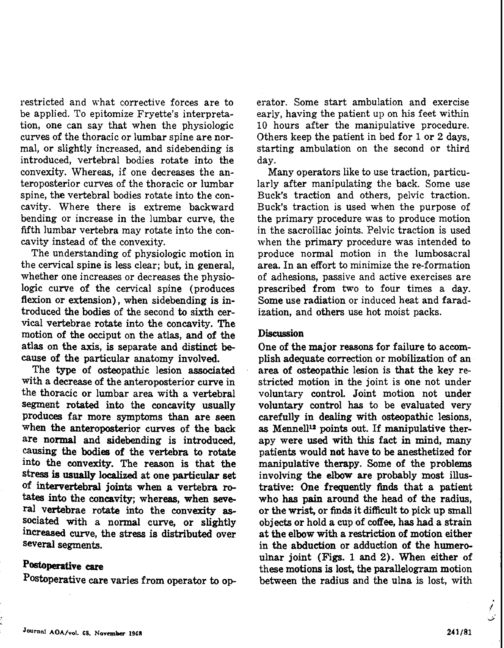restricted and what corrective forces are to be applied. To epitomize Fryette's interpretation, one can say that when the physiologic curves of the thoracic or lumbar spine are normal, or slightly increased, and sidebending is introduced, vertebral bodies rotate into the convexity. Whereas, if one decreases the anteroposterior curves of the thoracic or lumbar spine, the vertebral bodies rotate into the concavity. Where there is extreme backward bending or increase in the lumbar curve, the fifth lumbar vertebra may rotate into the concavity instead of the convexity.

The understanding of physiologic motion in the cervical spine is less clear; but, in general, whether one increases or decreases the physiologic curve of the cervical spine (produces flexion or extension), when sidebending is introduced the bodies of the second to sixth cervical vertebrae rotate into the concavity. The motion of the occiput on the atlas, and of the atlas on the axis, is separate and distinct because of the particular anatomy involved.

The type of osteopathic lesion associated with a decrease of the anteroposterior curve in the thoracic or lumbar area with a vertebral segment rotated into the concavity usually produces far more symptoms than are seen when the anteroposterior curves of the back are normal and sidebending is introduced, causing the **bodies** of the vertebra to rotate into the convexity. The reason is that the stress is usually localized at one particular set of intervertebral joints when a vertebra ro**tates** into the concavity; whereas, when seve ral vertebrae rotate into the convexity **as**sociated with a normal curve, or slightly increased curve, the stress is distributed over several segments.

## Postoperative **care**

Postoperative care varies from operator to op-

erator. Some start ambulation and exercise early, having the patient up on his feet within 10 hours after the manipulative procedure. Others keep the patient in bed for 1 or 2 days, starting ambulation on the second or third day.

Many operators like to use traction, particularly after manipulating the back. Some use Buck's traction and others, pelvic traction. Buck's traction is used when the purpose of the primary procedure was to produce motion in the sacroiliac joints. Pelvic traction is used when the primary procedure was intended to produce normal motion in the lumbosacral area. In an effort to minimize the re-formation of adhesions, passive and active exercises are prescribed from two to four times a day. Some use radiation or induced heat and faradization, and others use hot moist packs.

#### **Discussion**

One of the major reasons for failure to accomplish adequate correction or mobilization of an area of osteopathic lesion is that the key restricted motion in the joint is one not under voluntary control. Joint motion not under voluntary control **has** to be evaluated very carefully in dealing with osteopathic lesions, as Mennell<sup>12</sup> points out. If manipulative therapy were used with this fact in mind, many patients would not have to be anesthetized for manipulative therapy. Some of the problems involving the elbow are probably most illustrative: One frequently finds that a patient who **has** pain around the head of the radius, or the wrist, or finds it difficult to pick up small objects or hold a cup of coffee, has had a strain at the elbow with a restriction of motion either in the abduction or adduction of the humeroulnar joint (Figs. 1 and 2). **When** either of these motions is lost, the parallelogram motion between the radius and the ulna is lost, with

.<br>اف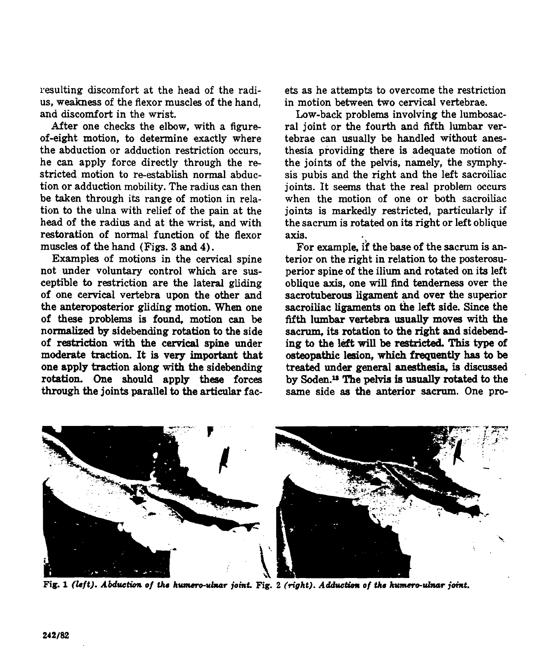resulting discomfort at the head of the radius, weakness of the flexor muscles of the hand, and discomfort in the wrist.

After one checks the elbow, with a figureof-eight motion, to determine exactly where the abduction or adduction restriction occurs, he **can** apply force directly through the restricted motion to re-establish normal abduction or adduction mobility. The radius can then be taken through its range of motion in relation to the ulna with relief of the pain at the head of the radius and at the wrist, and with restoration of normal function of the flexor muscles of the hand (Figs. 3 and 4).

Examples of motions in the cervical spine not under voluntary control which are susceptible to restriction are the lateral gliding of one cervical vertebra upon the other and the anteroposterior gliding motion. When one of these problems is found, motion can be normalized by sidebending rotation to the side of restriction with the cervical spine under moderate traction. It is very important that one apply traction along with the sidebending rotation. **One** should apply these forces through the joints parallel to the articular facets as he attempts to overcome the restriction in motion between two cervical vertebrae.

Low-back problems involving the lurnbosacral joint or the fourth and fifth lumbar vertebrae can usually be handled without anesthesia providing there is adequate motion of the joints of the pelvis, namely, the symphysis pubis and the right and the left sacroiliac joints. It seems that the real problem occurs when the motion of one or both sacroiliac joints is markedly restricted, particularly if the sacrum is rotated on its right or left oblique axis.

For example, ff the base of the sacrum is anterior on the right in relation to the posterosuperior spine of the ilium and rotated on its left oblique axis, one will find tenderness over the sacrotuberous ligament and over the superior sacroiliac ligaments on the left side. Since the fifth lumbar vertebra usually moves with the sacrum, its rotation to the right and sidebending to the left will be restricted. This type of osteopathic lesion, which frequently **has** to be treated under general anesthesia, is discussed by **S0den.u** The pelvis is usually rotated to the same side as the anterior sacrum. One pro-



**Fig. 1 (left). Abduction of the humero-ulnar joint. Fig. 2 (right). Adduction of the humero-ulnar joint.**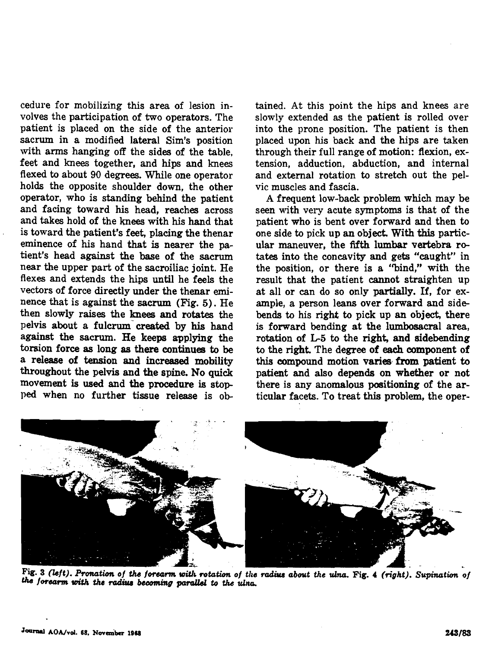cedure for mobilizing this area of lesion involves the participation of two operators. The patient is placed on the side of the anterior sacrum in a modified lateral Sim's position with arms hanging off the sides of the table, feet and knees together, and hips and knees flexed to about 90 degrees. While one operator holds the opposite shoulder down, the other operator, who is standing behind the patient and facing toward his head, reaches across and takes hold of the **knees** with his hand that is toward the patient's feet, placing the thenar eminence of his hand that is nearer the patient's head against the base of the sacrum near the upper part of the sacroiliac joint. He flexes and extends the hips until he feels the vectors of force directly under the thenar eminence that is against the sacrum (Fig. 5). He then slowly raises the **knees** and rotates the pelvis about a fulcrum created by his hand against the sacrum. He keeps applying the torsion force **as** long **as** there continues to be a release of tension and increased mobility throughout the pelvis and the spine. No **quick**  movement is **used** and the procedure is stop **ped** when no further tissue release is ob-

tained. At this point the hips and knees are slowly extended as the patient is rolled over into the prone position. The patient is then placed upon his back and the hips are taken through their full range of motion: flexion, extension, adduction, abduction, and internal and external rotation to stretch out the pelvic muscles and fascia.

A frequent low-back problem which may be seen with very acute symptoms is that of the patient who is bent over forward and then to one side to pick up an object. With this particular maneuver, the fifth lumbar vertebra rotates into the concavity and gets "caught" in the position, or there is a "bind," with the result that the patient cannot straighten up at all or can do so only partially. If, for example, a person leans over forward and sidebends to his right to pick up an object, there is forward bending at the lumbosacral area, rotation of L5 to the right, and sidebending to the right. The degree of each component of this compound motion varies from patient to patient and also depends on whether or not there is any anomalous positioning of the articular facets. To treat this problem, the oper-



**Fig. 3** *(left). P-m of* **h** *forarm* **wiUb rotutia** *of the* **rod&** *about the ulnu.* **Fig.** *4 (right). Supinution*  the forearm with the radius becoming parallel to the ulna.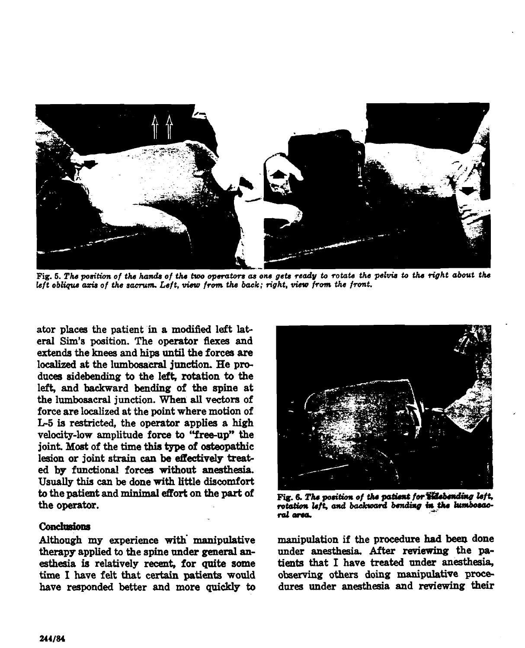

**Fig.** *6. The poa'tion of the hnda of* the *two* **opsrcrtws as** *one gets ready to rotate the pelvis to the right about the*  left oblique axis of the sacrum. Left, view from the back; right, view from the front.

ator places the patient in a modified left lateral Sim's position. The operator flexes and extends the knees and hips until the forces are localized at the lumbosacral junction. He produces sidebending to the left, rotation to the left, and backward bending of the spine at the lumbosacrai junction. **When all** vectors of force are localized at the point where motion of L5 is restricted, the operator applies a high velocity-low amplitude force to "free-up" the joint. **Most** of the time thh **type** of osteopathic lesion or joint strain can be effectively treated by functional forces without anesthesia. Usually this can be done with little discomfort to the patient and minimal effort on the part of  $\frac{1}{2}$  Fig. 6. The position of the patient for **Sidebending left.**<br> **he operator.**<br> **he operator** *of all position left.* **and backward bending in the lumbosac-**

#### **Conclusions**

therapy applied to the spine under general anesthesia is relatively recent. for quite some time I have felt that certain patients would have responded better and more quickly to



rotation left, and backward bending in the lumbosac**falama** 

Although my experience with manipulative manipulation if the procedure had been done therapy applied to the spine under general an-<br>under anesthesia. After reviewing the patients that I have treated under anesthesia, observing others doing manipulative procedures under anesthesia and reviewing their